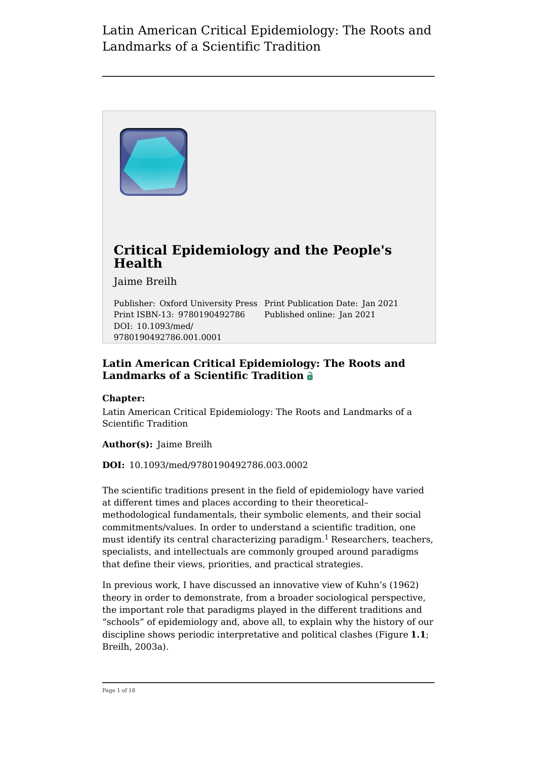

## **Latin American Critical Epidemiology: The Roots and Landmarks of a Scientific Tradition**

### **Chapter:**

Latin American Critical Epidemiology: The Roots and Landmarks of a Scientific Tradition

**Author(s):** Jaime Breilh

### **DOI:** 10.1093/med/9780190492786.003.0002

The scientific traditions present in the field of epidemiology have varied at different times and places according to their theoretical– methodological fundamentals, their symbolic elements, and their social commitments/values. In order to understand a scientific tradition, one must identify its central characterizing paradigm. $<sup>1</sup>$  $<sup>1</sup>$  $<sup>1</sup>$  Researchers, teachers,</sup> specialists, and intellectuals are commonly grouped around paradigms that define their views, priorities, and practical strategies.

<span id="page-0-0"></span>In previous work, I have discussed an innovative view of [Kuhn's \(1962\)](https://oxfordmedicine.com/view/10.1093/med/9780190492786.001.0001/med-9780190492786-bibliography-1#med-9780190492786-bibItem-163) theory in order to demonstrate, from a broader sociological perspective, the important role that paradigms played in the different traditions and "schools" of epidemiology and, above all, to explain why the history of our discipline shows periodic interpretative and political clashes (Figure **[1.1](#page-1-0)**; [Breilh, 2003a](https://oxfordmedicine.com/view/10.1093/med/9780190492786.001.0001/med-9780190492786-bibliography-1#med-9780190492786-bibItem-41)).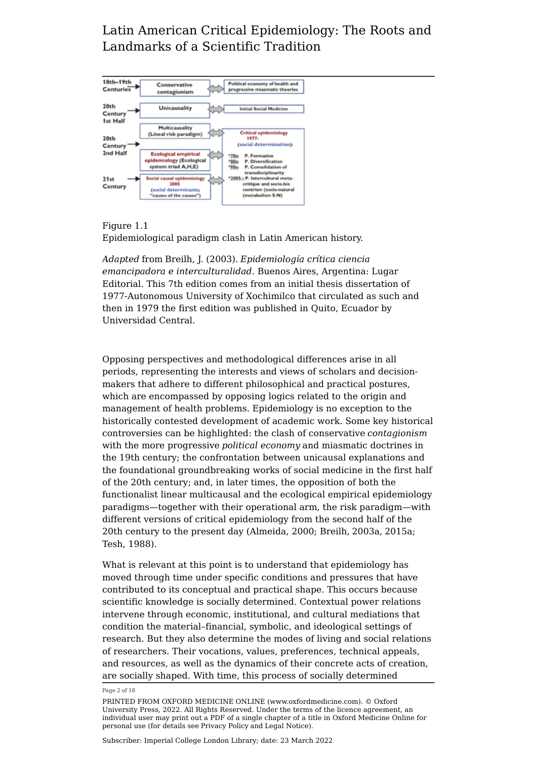<span id="page-1-0"></span>

### Figure 1.1 Epidemiological paradigm clash in Latin American history.

*Adapted* from Breilh, J. (2003). *Epidemiología crítica ciencia emancipadora e interculturalidad*. Buenos Aires, Argentina: Lugar Editorial. This 7th edition comes from an initial thesis dissertation of 1977-Autonomous University of Xochimilco that circulated as such and then in 1979 the first edition was published in Quito, Ecuador by Universidad Central.

Opposing perspectives and methodological differences arise in all periods, representing the interests and views of scholars and decisionmakers that adhere to different philosophical and practical postures, which are encompassed by opposing logics related to the origin and management of health problems. Epidemiology is no exception to the historically contested development of academic work. Some key historical controversies can be highlighted: the clash of conservative *contagionism* with the more progressive *political economy* and miasmatic doctrines in the 19th century; the confrontation between unicausal explanations and the foundational groundbreaking works of social medicine in the first half of the 20th century; and, in later times, the opposition of both the functionalist linear multicausal and the ecological empirical epidemiology paradigms—together with their operational arm, the risk paradigm—with different versions of critical epidemiology from the second half of the 20th century to the present day (Almeida, 2000; Breilh, [2003a](https://oxfordmedicine.com/view/10.1093/med/9780190492786.001.0001/med-9780190492786-bibliography-1#med-9780190492786-bibItem-41), [2015a](https://oxfordmedicine.com/view/10.1093/med/9780190492786.001.0001/med-9780190492786-bibliography-1#med-9780190492786-bibItem-48); [Tesh, 1988](https://oxfordmedicine.com/view/10.1093/med/9780190492786.001.0001/med-9780190492786-bibliography-1#med-9780190492786-bibItem-250)).

What is relevant at this point is to understand that epidemiology has moved through time under specific conditions and pressures that have contributed to its conceptual and practical shape. This occurs because scientific knowledge is socially determined. Contextual power relations intervene through economic, institutional, and cultural mediations that condition the material–financial, symbolic, and ideological settings of research. But they also determine the modes of living and social relations of researchers. Their vocations, values, preferences, technical appeals, and resources, as well as the dynamics of their concrete acts of creation, are socially shaped. With time, this process of socially determined

Page 2 of 18

PRINTED FROM OXFORD MEDICINE ONLINE (www.oxfordmedicine.com). © Oxford University Press, 2022. All Rights Reserved. Under the terms of the licence agreement, an individual user may print out a PDF of a single chapter of a title in Oxford Medicine Online for personal use (for details see [Privacy Policy](https://global.oup.com/privacy) and [Legal Notice](https://oxfordmedicine.com/page/legal-notice)).

Subscriber: Imperial College London Library; date: 23 March 2022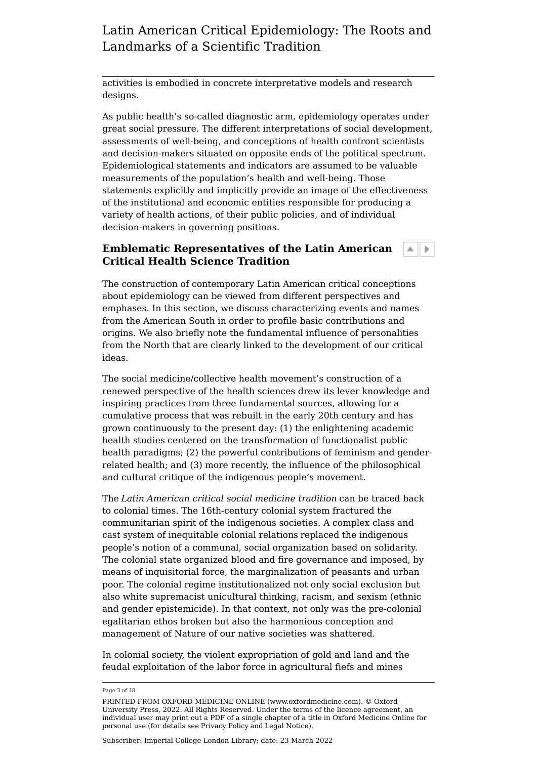activities is embodied in concrete interpretative models and research designs.

As public health's so-called diagnostic arm, epidemiology operates under great social pressure. The different interpretations of social development, assessments of well-being, and conceptions of health confront scientists and decision-makers situated on opposite ends of the political spectrum. Epidemiological statements and indicators are assumed to be valuable measurements of the population's health and well-being. Those statements explicitly and implicitly provide an image of the effectiveness of the institutional and economic entities responsible for producing a variety of health actions, of their public policies, and of individual decision-makers in governing positions.

▲ | ▶

## **Emblematic Representatives of the Latin American Critical Health Science Tradition**

The construction of contemporary Latin American critical conceptions about epidemiology can be viewed from different perspectives and emphases. In this section, we discuss characterizing events and names from the American South in order to profile basic contributions and origins. We also briefly note the fundamental influence of personalities from the North that are clearly linked to the development of our critical ideas.

The social medicine/collective health movement's construction of a renewed perspective of the health sciences drew its lever knowledge and inspiring practices from three fundamental sources, allowing for a cumulative process that was rebuilt in the early 20th century and has grown continuously to the present day: (1) the enlightening academic health studies centered on the transformation of functionalist public health paradigms; (2) the powerful contributions of feminism and genderrelated health; and (3) more recently, the influence of the philosophical and cultural critique of the indigenous people's movement.

The *Latin American critical social medicine tradition* can be traced back to colonial times. The 16th-century colonial system fractured the communitarian spirit of the indigenous societies. A complex class and cast system of inequitable colonial relations replaced the indigenous people's notion of a communal, social organization based on solidarity. The colonial state organized blood and fire governance and imposed, by means of inquisitorial force, the marginalization of peasants and urban poor. The colonial regime institutionalized not only social exclusion but also white supremacist unicultural thinking, racism, and sexism (ethnic and gender epistemicide). In that context, not only was the pre-colonial egalitarian ethos broken but also the harmonious conception and management of Nature of our native societies was shattered.

In colonial society, the violent expropriation of gold and land and the feudal exploitation of the labor force in agricultural fiefs and mines

Page 3 of 18

PRINTED FROM OXFORD MEDICINE ONLINE (www.oxfordmedicine.com). © Oxford University Press, 2022. All Rights Reserved. Under the terms of the licence agreement, an individual user may print out a PDF of a single chapter of a title in Oxford Medicine Online for personal use (for details see [Privacy Policy](https://global.oup.com/privacy) and [Legal Notice](https://oxfordmedicine.com/page/legal-notice)).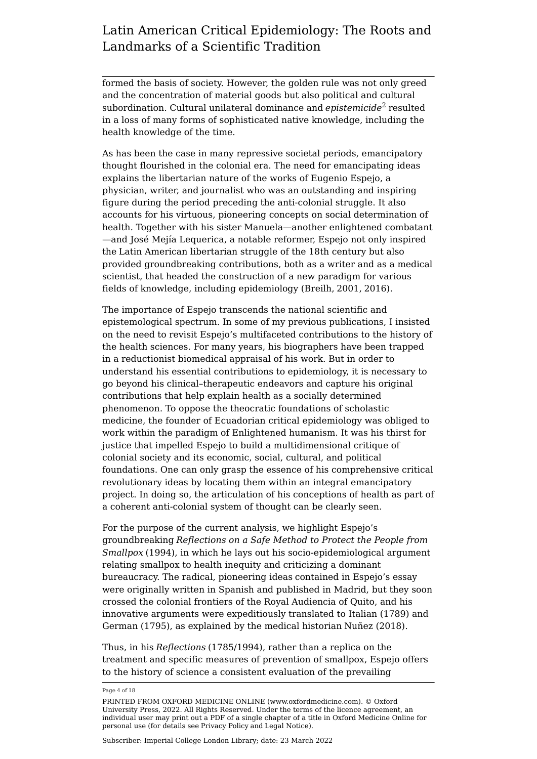<span id="page-3-0"></span>formed the basis of society. However, the golden rule was not only greed and the concentration of material goods but also political and cultural subordination. Cultural unilateral dominance and *epistemicide*<sup>[2](#page-16-1)</sup> resulted in a loss of many forms of sophisticated native knowledge, including the health knowledge of the time.

As has been the case in many repressive societal periods, emancipatory thought flourished in the colonial era. The need for emancipating ideas explains the libertarian nature of the works of Eugenio Espejo, a physician, writer, and journalist who was an outstanding and inspiring figure during the period preceding the anti-colonial struggle. It also accounts for his virtuous, pioneering concepts on social determination of health. Together with his sister Manuela—another enlightened combatant —and José Mejía Lequerica, a notable reformer, Espejo not only inspired the Latin American libertarian struggle of the 18th century but also provided groundbreaking contributions, both as a writer and as a medical scientist, that headed the construction of a new paradigm for various fields of knowledge, including epidemiology (Breilh, [2001](https://oxfordmedicine.com/view/10.1093/med/9780190492786.001.0001/med-9780190492786-bibliography-1#med-9780190492786-bibItem-40), [2016\)](https://oxfordmedicine.com/view/10.1093/med/9780190492786.001.0001/med-9780190492786-bibliography-1#med-9780190492786-bibItem-50).

The importance of Espejo transcends the national scientific and epistemological spectrum. In some of my previous publications, I insisted on the need to revisit Espejo's multifaceted contributions to the history of the health sciences. For many years, his biographers have been trapped in a reductionist biomedical appraisal of his work. But in order to understand his essential contributions to epidemiology, it is necessary to go beyond his clinical–therapeutic endeavors and capture his original contributions that help explain health as a socially determined phenomenon. To oppose the theocratic foundations of scholastic medicine, the founder of Ecuadorian critical epidemiology was obliged to work within the paradigm of Enlightened humanism. It was his thirst for justice that impelled Espejo to build a multidimensional critique of colonial society and its economic, social, cultural, and political foundations. One can only grasp the essence of his comprehensive critical revolutionary ideas by locating them within an integral emancipatory project. In doing so, the articulation of his conceptions of health as part of a coherent anti-colonial system of thought can be clearly seen.

For the purpose of the current analysis, we highlight Espejo's groundbreaking *Reflections on a Safe Method to Protect the People from Smallpox* (1994), in which he lays out his socio-epidemiological argument relating smallpox to health inequity and criticizing a dominant bureaucracy. The radical, pioneering ideas contained in Espejo's essay were originally written in Spanish and published in Madrid, but they soon crossed the colonial frontiers of the Royal Audiencia of Quito, and his innovative arguments were expeditiously translated to Italian (1789) and German (1795), as explained by the medical historian [Nuñez \(2018\)](https://oxfordmedicine.com/view/10.1093/med/9780190492786.001.0001/med-9780190492786-bibliography-1#med-9780190492786-bibItem-204).

Thus, in his *Reflections* (1785/1994), rather than a replica on the treatment and specific measures of prevention of smallpox, Espejo offers to the history of science a consistent evaluation of the prevailing

Page 4 of 18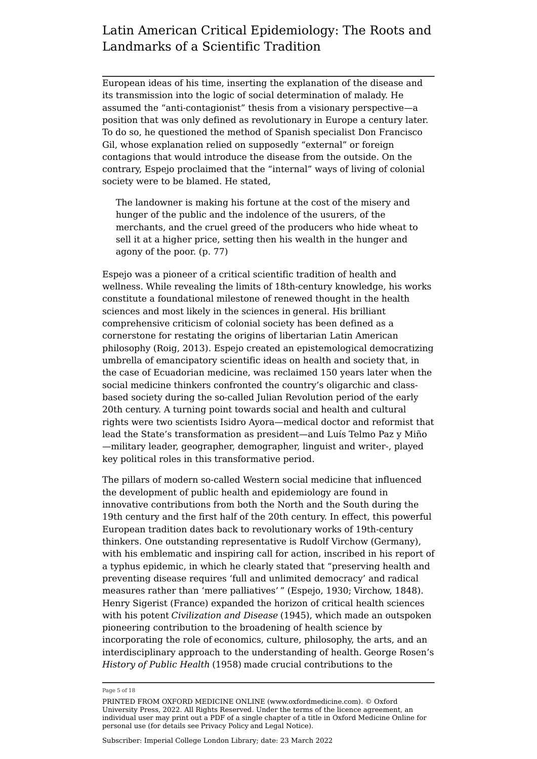European ideas of his time, inserting the explanation of the disease and its transmission into the logic of social determination of malady. He assumed the "anti-contagionist" thesis from a visionary perspective—a position that was only defined as revolutionary in Europe a century later. To do so, he questioned the method of Spanish specialist Don Francisco Gil, whose explanation relied on supposedly "external" or foreign contagions that would introduce the disease from the outside. On the contrary, Espejo proclaimed that the "internal" ways of living of colonial society were to be blamed. He stated,

The landowner is making his fortune at the cost of the misery and hunger of the public and the indolence of the usurers, of the merchants, and the cruel greed of the producers who hide wheat to sell it at a higher price, setting then his wealth in the hunger and agony of the poor. (p. 77)

Espejo was a pioneer of a critical scientific tradition of health and wellness. While revealing the limits of 18th-century knowledge, his works constitute a foundational milestone of renewed thought in the health sciences and most likely in the sciences in general. His brilliant comprehensive criticism of colonial society has been defined as a cornerstone for restating the origins of libertarian Latin American philosophy ([Roig, 2013](https://oxfordmedicine.com/view/10.1093/med/9780190492786.001.0001/med-9780190492786-bibliography-1#med-9780190492786-bibItem-226)). Espejo created an epistemological democratizing umbrella of emancipatory scientific ideas on health and society that, in the case of Ecuadorian medicine, was reclaimed 150 years later when the social medicine thinkers confronted the country's oligarchic and classbased society during the so-called Julian Revolution period of the early 20th century. A turning point towards social and health and cultural rights were two scientists Isidro Ayora—medical doctor and reformist that lead the State's transformation as president—and Luís Telmo Paz y Miño —military leader, geographer, demographer, linguist and writer-, played key political roles in this transformative period.

The pillars of modern so-called Western social medicine that influenced the development of public health and epidemiology are found in innovative contributions from both the North and the South during the 19th century and the first half of the 20th century. In effect, this powerful European tradition dates back to revolutionary works of 19th-century thinkers. One outstanding representative is Rudolf Virchow (Germany), with his emblematic and inspiring call for action, inscribed in his report of a typhus epidemic, in which he clearly stated that "preserving health and preventing disease requires 'full and unlimited democracy' and radical measures rather than 'mere palliatives' " ([Espejo, 1930;](https://oxfordmedicine.com/view/10.1093/med/9780190492786.001.0001/med-9780190492786-bibliography-1#med-9780190492786-bibItem-98) [Virchow, 1848\)](https://oxfordmedicine.com/view/10.1093/med/9780190492786.001.0001/med-9780190492786-bibliography-1#med-9780190492786-bibItem-261). Henry Sigerist (France) expanded the horizon of critical health sciences with his potent *[Civilization and Disease](https://oxfordmedicine.com/view/10.1093/med/9780190492786.001.0001/med-9780190492786-bibliography-1#med-9780190492786-bibItem-240)* [\(1945\)](https://oxfordmedicine.com/view/10.1093/med/9780190492786.001.0001/med-9780190492786-bibliography-1#med-9780190492786-bibItem-240), which made an outspoken pioneering contribution to the broadening of health science by incorporating the role of economics, culture, philosophy, the arts, and an interdisciplinary approach to the understanding of health. [George Rosen's](https://oxfordmedicine.com/view/10.1093/med/9780190492786.001.0001/med-9780190492786-bibliography-1#med-9780190492786-bibItem-228) *[History of Public Health](https://oxfordmedicine.com/view/10.1093/med/9780190492786.001.0001/med-9780190492786-bibliography-1#med-9780190492786-bibItem-228)* [\(1958\)](https://oxfordmedicine.com/view/10.1093/med/9780190492786.001.0001/med-9780190492786-bibliography-1#med-9780190492786-bibItem-228) made crucial contributions to the

Page 5 of 18

PRINTED FROM OXFORD MEDICINE ONLINE (www.oxfordmedicine.com). © Oxford University Press, 2022. All Rights Reserved. Under the terms of the licence agreement, an individual user may print out a PDF of a single chapter of a title in Oxford Medicine Online for personal use (for details see [Privacy Policy](https://global.oup.com/privacy) and [Legal Notice](https://oxfordmedicine.com/page/legal-notice)).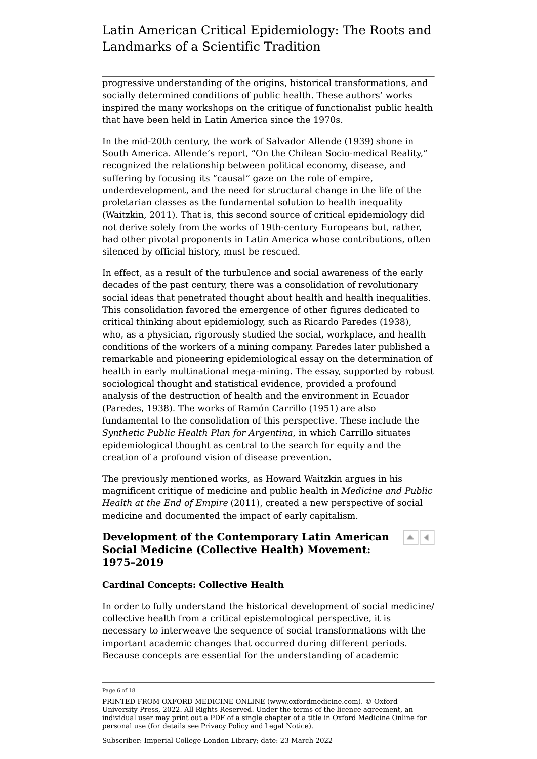progressive understanding of the origins, historical transformations, and socially determined conditions of public health. These authors' works inspired the many workshops on the critique of functionalist public health that have been held in Latin America since the 1970s.

In the mid-20th century, the work of [Salvador Allende \(1939\)](https://oxfordmedicine.com/view/10.1093/med/9780190492786.001.0001/med-9780190492786-bibliography-1#med-9780190492786-bibItem-4) shone in South America. Allende's report, "On the Chilean Socio-medical Reality," recognized the relationship between political economy, disease, and suffering by focusing its "causal" gaze on the role of empire, underdevelopment, and the need for structural change in the life of the proletarian classes as the fundamental solution to health inequality [\(Waitzkin, 2011\)](https://oxfordmedicine.com/view/10.1093/med/9780190492786.001.0001/med-9780190492786-bibliography-1#med-9780190492786-bibItem-262). That is, this second source of critical epidemiology did not derive solely from the works of 19th-century Europeans but, rather, had other pivotal proponents in Latin America whose contributions, often silenced by official history, must be rescued.

In effect, as a result of the turbulence and social awareness of the early decades of the past century, there was a consolidation of revolutionary social ideas that penetrated thought about health and health inequalities. This consolidation favored the emergence of other figures dedicated to critical thinking about epidemiology, such as [Ricardo Paredes \(1938\)](https://oxfordmedicine.com/view/10.1093/med/9780190492786.001.0001/med-9780190492786-bibliography-1#med-9780190492786-bibItem-210), who, as a physician, rigorously studied the social, workplace, and health conditions of the workers of a mining company. Paredes later published a remarkable and pioneering epidemiological essay on the determination of health in early multinational mega-mining. The essay, supported by robust sociological thought and statistical evidence, provided a profound analysis of the destruction of health and the environment in Ecuador [\(Paredes, 1938\)](https://oxfordmedicine.com/view/10.1093/med/9780190492786.001.0001/med-9780190492786-bibliography-1#med-9780190492786-bibItem-210). The works of [Ramón Carrillo \(1951\)](https://oxfordmedicine.com/view/10.1093/med/9780190492786.001.0001/med-9780190492786-bibliography-1#med-9780190492786-bibItem-72) are also fundamental to the consolidation of this perspective. These include the *Synthetic Public Health Plan for Argentina*, in which Carrillo situates epidemiological thought as central to the search for equity and the creation of a profound vision of disease prevention.

The previously mentioned works, as Howard Waitzkin argues in his magnificent critique of medicine and public health in *[Medicine and Public](https://oxfordmedicine.com/view/10.1093/med/9780190492786.001.0001/med-9780190492786-bibliography-1#med-9780190492786-bibItem-262)  [Health at the End of Empire](https://oxfordmedicine.com/view/10.1093/med/9780190492786.001.0001/med-9780190492786-bibliography-1#med-9780190492786-bibItem-262)* [\(2011\)](https://oxfordmedicine.com/view/10.1093/med/9780190492786.001.0001/med-9780190492786-bibliography-1#med-9780190492786-bibItem-262), created a new perspective of social medicine and documented the impact of early capitalism.

 $\blacktriangle \blackparallel$  4

## **Development of the Contemporary Latin American Social Medicine (Collective Health) Movement: 1975–2019**

### **Cardinal Concepts: Collective Health**

In order to fully understand the historical development of social medicine/ collective health from a critical epistemological perspective, it is necessary to interweave the sequence of social transformations with the important academic changes that occurred during different periods. Because concepts are essential for the understanding of academic

Page 6 of 18

PRINTED FROM OXFORD MEDICINE ONLINE (www.oxfordmedicine.com). © Oxford University Press, 2022. All Rights Reserved. Under the terms of the licence agreement, an individual user may print out a PDF of a single chapter of a title in Oxford Medicine Online for personal use (for details see [Privacy Policy](https://global.oup.com/privacy) and [Legal Notice](https://oxfordmedicine.com/page/legal-notice)).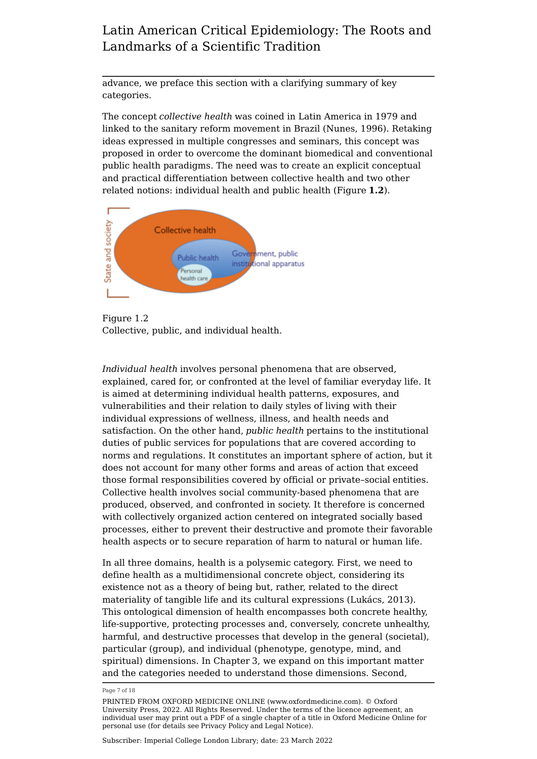advance, we preface this section with a clarifying summary of key categories.

The concept *collective health* was coined in Latin America in 1979 and linked to the sanitary reform movement in Brazil ([Nunes, 1996\)](https://oxfordmedicine.com/view/10.1093/med/9780190492786.001.0001/med-9780190492786-bibliography-1#med-9780190492786-bibItem-203). Retaking ideas expressed in multiple congresses and seminars, this concept was proposed in order to overcome the dominant biomedical and conventional public health paradigms. The need was to create an explicit conceptual and practical differentiation between collective health and two other related notions: individual health and public health (Figure **[1.2](#page-6-0)**).

<span id="page-6-0"></span>

Figure 1.2 Collective, public, and individual health.

*Individual health* involves personal phenomena that are observed, explained, cared for, or confronted at the level of familiar everyday life. It is aimed at determining individual health patterns, exposures, and vulnerabilities and their relation to daily styles of living with their individual expressions of wellness, illness, and health needs and satisfaction. On the other hand, *public health* pertains to the institutional duties of public services for populations that are covered according to norms and regulations. It constitutes an important sphere of action, but it does not account for many other forms and areas of action that exceed those formal responsibilities covered by official or private–social entities. Collective health involves social community-based phenomena that are produced, observed, and confronted in society. It therefore is concerned with collectively organized action centered on integrated socially based processes, either to prevent their destructive and promote their favorable health aspects or to secure reparation of harm to natural or human life.

In all three domains, health is a polysemic category. First, we need to define health as a multidimensional concrete object, considering its existence not as a theory of being but, rather, related to the direct materiality of tangible life and its cultural expressions ([Lukács, 2013](https://oxfordmedicine.com/view/10.1093/med/9780190492786.001.0001/med-9780190492786-bibliography-1#med-9780190492786-bibItem-181)). This ontological dimension of health encompasses both concrete healthy, life-supportive, protecting processes and, conversely, concrete unhealthy, harmful, and destructive processes that develop in the general (societal), particular (group), and individual (phenotype, genotype, mind, and spiritual) dimensions. In Chapter [3,](https://oxfordmedicine.com/view/10.1093/med/9780190492786.001.0001/med-9780190492786-chapter-4#) we expand on this important matter and the categories needed to understand those dimensions. Second,

Page 7 of 18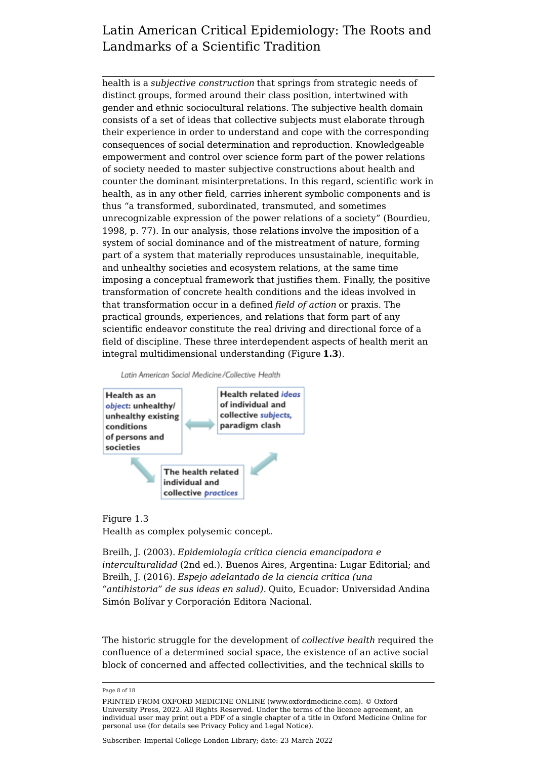health is a *subjective construction* that springs from strategic needs of distinct groups, formed around their class position, intertwined with gender and ethnic sociocultural relations. The subjective health domain consists of a set of ideas that collective subjects must elaborate through their experience in order to understand and cope with the corresponding consequences of social determination and reproduction. Knowledgeable empowerment and control over science form part of the power relations of society needed to master subjective constructions about health and counter the dominant misinterpretations. In this regard, scientific work in health, as in any other field, carries inherent symbolic components and is thus "a transformed, subordinated, transmuted, and sometimes unrecognizable expression of the power relations of a society" ([Bourdieu,](https://oxfordmedicine.com/view/10.1093/med/9780190492786.001.0001/med-9780190492786-bibliography-1#med-9780190492786-bibItem-27) [1998](https://oxfordmedicine.com/view/10.1093/med/9780190492786.001.0001/med-9780190492786-bibliography-1#med-9780190492786-bibItem-27), p. 77). In our analysis, those relations involve the imposition of a system of social dominance and of the mistreatment of nature, forming part of a system that materially reproduces unsustainable, inequitable, and unhealthy societies and ecosystem relations, at the same time imposing a conceptual framework that justifies them. Finally, the positive transformation of concrete health conditions and the ideas involved in that transformation occur in a defined *field of action* or praxis. The practical grounds, experiences, and relations that form part of any scientific endeavor constitute the real driving and directional force of a field of discipline. These three interdependent aspects of health merit an integral multidimensional understanding (Figure **[1.3](#page-7-0)**).



<span id="page-7-0"></span>

Figure 1.3 Health as complex polysemic concept.

[Breilh, J. \(2003\)](https://oxfordmedicine.com/view/10.1093/med/9780190492786.001.0001/med-9780190492786-bibliography-1#med-9780190492786-bibItem-63). *Epidemiología crítica ciencia emancipadora e interculturalidad* (2nd ed.). Buenos Aires, Argentina: Lugar Editorial; and [Breilh, J. \(2016\)](https://oxfordmedicine.com/view/10.1093/med/9780190492786.001.0001/med-9780190492786-bibliography-1#med-9780190492786-bibItem-50). *Espejo adelantado de la ciencia crítica (una "antihistoria" de sus ideas en salud).* Quito, Ecuador: Universidad Andina Simón Bolívar y Corporación Editora Nacional.

The historic struggle for the development of *collective health* required the confluence of a determined social space, the existence of an active social block of concerned and affected collectivities, and the technical skills to

```
Page 8 of 18
```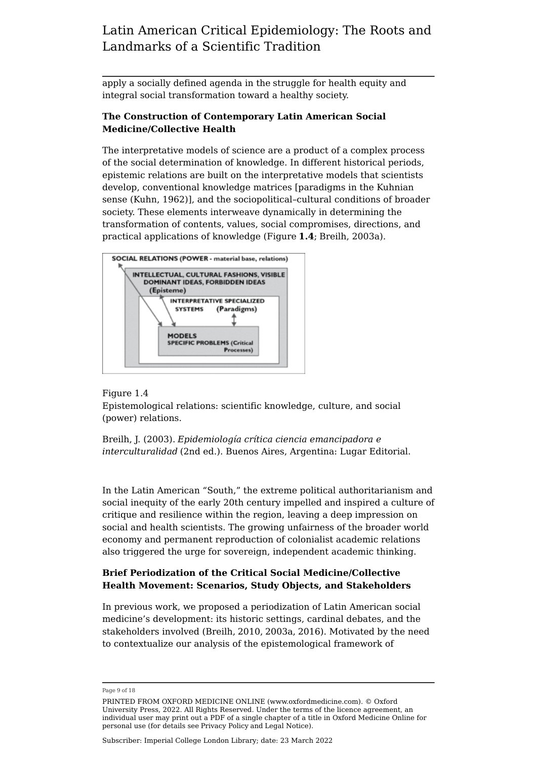apply a socially defined agenda in the struggle for health equity and integral social transformation toward a healthy society.

## **The Construction of Contemporary Latin American Social Medicine/Collective Health**

The interpretative models of science are a product of a complex process of the social determination of knowledge. In different historical periods, epistemic relations are built on the interpretative models that scientists develop, conventional knowledge matrices [paradigms in the Kuhnian sense [\(Kuhn, 1962](https://oxfordmedicine.com/view/10.1093/med/9780190492786.001.0001/med-9780190492786-bibliography-1#med-9780190492786-bibItem-163))], and the sociopolitical–cultural conditions of broader society. These elements interweave dynamically in determining the transformation of contents, values, social compromises, directions, and practical applications of knowledge (Figure **[1.4](#page-8-0)**; [Breilh, 2003a](https://oxfordmedicine.com/view/10.1093/med/9780190492786.001.0001/med-9780190492786-bibliography-1#med-9780190492786-bibItem-41)).

<span id="page-8-0"></span>

## Figure 1.4

Epistemological relations: scientific knowledge, culture, and social (power) relations.

[Breilh, J. \(2003\)](https://oxfordmedicine.com/view/10.1093/med/9780190492786.001.0001/med-9780190492786-bibliography-1#med-9780190492786-bibItem-63). *Epidemiología crítica ciencia emancipadora e interculturalidad* (2nd ed.). Buenos Aires, Argentina: Lugar Editorial.

In the Latin American "South," the extreme political authoritarianism and social inequity of the early 20th century impelled and inspired a culture of critique and resilience within the region, leaving a deep impression on social and health scientists. The growing unfairness of the broader world economy and permanent reproduction of colonialist academic relations also triggered the urge for sovereign, independent academic thinking.

## **Brief Periodization of the Critical Social Medicine/Collective Health Movement: Scenarios, Study Objects, and Stakeholders**

In previous work, we proposed a periodization of Latin American social medicine's development: its historic settings, cardinal debates, and the stakeholders involved (Breilh, [2010,](https://oxfordmedicine.com/view/10.1093/med/9780190492786.001.0001/med-9780190492786-bibliography-1#med-9780190492786-bibItem-45) [2003a,](https://oxfordmedicine.com/view/10.1093/med/9780190492786.001.0001/med-9780190492786-bibliography-1#med-9780190492786-bibItem-41) [2016](https://oxfordmedicine.com/view/10.1093/med/9780190492786.001.0001/med-9780190492786-bibliography-1#med-9780190492786-bibItem-50)). Motivated by the need to contextualize our analysis of the epistemological framework of

Page 9 of 18

PRINTED FROM OXFORD MEDICINE ONLINE (www.oxfordmedicine.com). © Oxford University Press, 2022. All Rights Reserved. Under the terms of the licence agreement, an individual user may print out a PDF of a single chapter of a title in Oxford Medicine Online for personal use (for details see [Privacy Policy](https://global.oup.com/privacy) and [Legal Notice](https://oxfordmedicine.com/page/legal-notice)).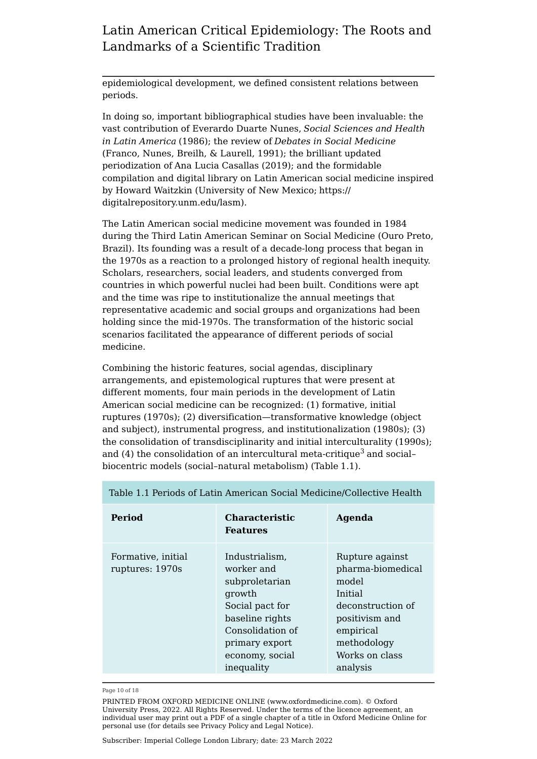epidemiological development, we defined consistent relations between periods.

In doing so, important bibliographical studies have been invaluable: the vast contribution of Everardo Duarte Nunes, *Social Sciences and Health in Latin America* (1986); the review of *Debates in Social Medicine* [\(Franco, Nunes, Breilh, & Laurell, 1991](https://oxfordmedicine.com/view/10.1093/med/9780190492786.001.0001/med-9780190492786-bibliography-1#med-9780190492786-bibItem-108)); the brilliant updated periodization of [Ana Lucia Casallas \(2019\);](https://oxfordmedicine.com/view/10.1093/med/9780190492786.001.0001/med-9780190492786-bibliography-1#med-9780190492786-bibItem-73) and the formidable compilation and digital library on Latin American social medicine inspired by Howard Waitzkin (University of New Mexico; [https://](https://digitalrepository.unm.edu/lasm) [digitalrepository.unm.edu/lasm\)](https://digitalrepository.unm.edu/lasm).

The Latin American social medicine movement was founded in 1984 during the Third Latin American Seminar on Social Medicine (Ouro Preto, Brazil). Its founding was a result of a decade-long process that began in the 1970s as a reaction to a prolonged history of regional health inequity. Scholars, researchers, social leaders, and students converged from countries in which powerful nuclei had been built. Conditions were apt and the time was ripe to institutionalize the annual meetings that representative academic and social groups and organizations had been holding since the mid-1970s. The transformation of the historic social scenarios facilitated the appearance of different periods of social medicine.

Combining the historic features, social agendas, disciplinary arrangements, and epistemological ruptures that were present at different moments, four main periods in the development of Latin American social medicine can be recognized: (1) formative, initial ruptures (1970s); (2) diversification—transformative knowledge (object and subject), instrumental progress, and institutionalization (1980s); (3) the consolidation of transdisciplinarity and initial interculturality (1990s); and  $(4)$  the consolidation of an intercultural meta-critique<sup>[3](#page-16-2)</sup> and socialbiocentric models (social–natural metabolism) (Table [1.1](#page-9-0)).

| Period                                | <b>Characteristic</b><br><b>Features</b>                                                                                                                              | Agenda                                                                                                                                                    |
|---------------------------------------|-----------------------------------------------------------------------------------------------------------------------------------------------------------------------|-----------------------------------------------------------------------------------------------------------------------------------------------------------|
| Formative, initial<br>ruptures: 1970s | Industrialism,<br>worker and<br>subproletarian<br>growth<br>Social pact for<br>baseline rights<br>Consolidation of<br>primary export<br>economy, social<br>inequality | Rupture against<br>pharma-biomedical<br>model<br>Initial<br>deconstruction of<br>positivism and<br>empirical<br>methodology<br>Works on class<br>analysis |

### <span id="page-9-1"></span><span id="page-9-0"></span>Table 1.1 Periods of Latin American Social Medicine/Collective Health

Page 10 of 18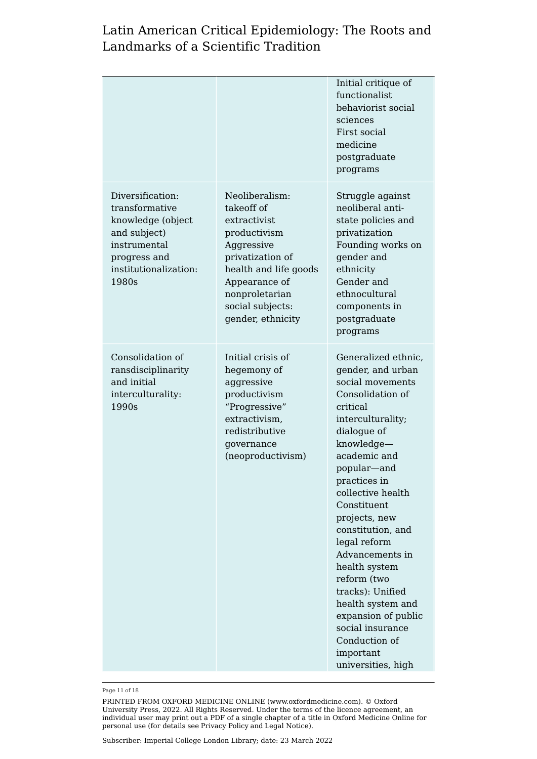|                                                                                                                                           |                                                                                                                                                                                                     | Initial critique of<br>functionalist<br>behaviorist social<br>sciences<br>First social<br>medicine<br>postgraduate<br>programs                                                                                                                                                                                                                                                                                                                                                     |
|-------------------------------------------------------------------------------------------------------------------------------------------|-----------------------------------------------------------------------------------------------------------------------------------------------------------------------------------------------------|------------------------------------------------------------------------------------------------------------------------------------------------------------------------------------------------------------------------------------------------------------------------------------------------------------------------------------------------------------------------------------------------------------------------------------------------------------------------------------|
| Diversification:<br>transformative<br>knowledge (object<br>and subject)<br>instrumental<br>progress and<br>institutionalization:<br>1980s | Neoliberalism:<br>takeoff of<br>extractivist<br>productivism<br>Aggressive<br>privatization of<br>health and life goods<br>Appearance of<br>nonproletarian<br>social subjects:<br>gender, ethnicity | Struggle against<br>neoliberal anti-<br>state policies and<br>privatization<br>Founding works on<br>gender and<br>ethnicity<br>Gender and<br>ethnocultural<br>components in<br>postgraduate<br>programs                                                                                                                                                                                                                                                                            |
| Consolidation of<br>ransdisciplinarity<br>and initial<br>interculturality:<br>1990s                                                       | Initial crisis of<br>hegemony of<br>aggressive<br>productivism<br>"Progressive"<br>extractivism,<br>redistributive<br>governance<br>(neoproductivism)                                               | Generalized ethnic,<br>gender, and urban<br>social movements<br>Consolidation of<br>critical<br>interculturality;<br>dialogue of<br>knowledge-<br>academic and<br>popular—and<br>practices in<br>collective health<br>Constituent<br>projects, new<br>constitution, and<br>legal reform<br>Advancements in<br>health system<br>reform (two<br>tracks): Unified<br>health system and<br>expansion of public<br>social insurance<br>Conduction of<br>important<br>universities, high |

#### Page 11 of 18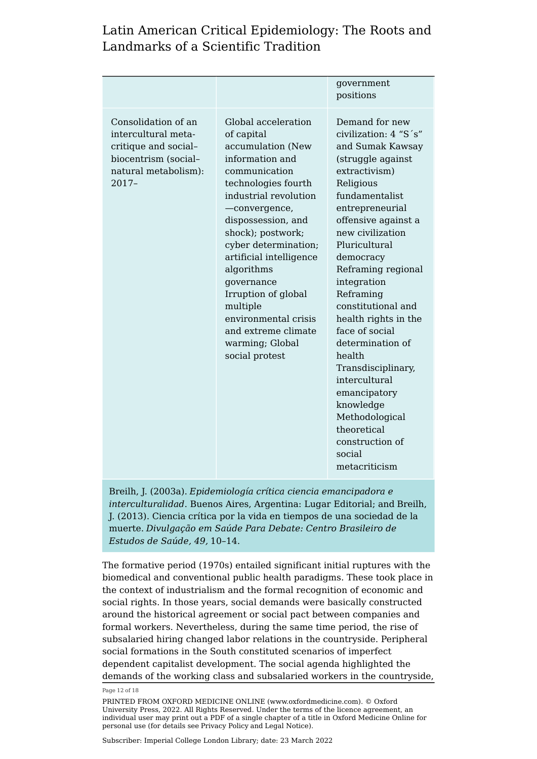|                                                                                                                             |                                                                                                                                                                                                                                                                                                                                                                                                              | government<br>positions                                                                                                                                                                                                                                                                                                                                                                                                                                                                                                         |
|-----------------------------------------------------------------------------------------------------------------------------|--------------------------------------------------------------------------------------------------------------------------------------------------------------------------------------------------------------------------------------------------------------------------------------------------------------------------------------------------------------------------------------------------------------|---------------------------------------------------------------------------------------------------------------------------------------------------------------------------------------------------------------------------------------------------------------------------------------------------------------------------------------------------------------------------------------------------------------------------------------------------------------------------------------------------------------------------------|
| Consolidation of an<br>intercultural meta-<br>critique and social-<br>biocentrism (social-<br>natural metabolism):<br>2017- | Global acceleration<br>of capital<br>accumulation (New<br>information and<br>communication<br>technologies fourth<br>industrial revolution<br>-convergence,<br>dispossession, and<br>shock); postwork;<br>cyber determination;<br>artificial intelligence<br>algorithms<br>governance<br>Irruption of global<br>multiple<br>environmental crisis<br>and extreme climate<br>warming; Global<br>social protest | Demand for new<br>civilization: 4 "S's"<br>and Sumak Kawsay<br>(struggle against<br>extractivism)<br>Religious<br>fundamentalist<br>entrepreneurial<br>offensive against a<br>new civilization<br>Pluricultural<br>democracy<br>Reframing regional<br>integration<br>Reframing<br>constitutional and<br>health rights in the<br>face of social<br>determination of<br>health<br>Transdisciplinary,<br>intercultural<br>emancipatory<br>knowledge<br>Methodological<br>theoretical<br>construction of<br>social<br>metacriticism |

[Breilh, J. \(2003a\).](https://oxfordmedicine.com/view/10.1093/med/9780190492786.001.0001/med-9780190492786-bibliography-1#med-9780190492786-bibItem-41) *Epidemiología crítica ciencia emancipadora e interculturalidad*. Buenos Aires, Argentina: Lugar Editorial; and [Breilh,](https://oxfordmedicine.com/view/10.1093/med/9780190492786.001.0001/med-9780190492786-bibliography-1#med-9780190492786-bibItem-47) [J. \(2013\).](https://oxfordmedicine.com/view/10.1093/med/9780190492786.001.0001/med-9780190492786-bibliography-1#med-9780190492786-bibItem-47) Ciencia crítica por la vida en tiempos de una sociedad de la muerte. *Divulgação em Saúde Para Debate: Centro Brasileiro de Estudos de Saúde, 49,* 10–14.

The formative period (1970s) entailed significant initial ruptures with the biomedical and conventional public health paradigms. These took place in the context of industrialism and the formal recognition of economic and social rights. In those years, social demands were basically constructed around the historical agreement or social pact between companies and formal workers. Nevertheless, during the same time period, the rise of subsalaried hiring changed labor relations in the countryside. Peripheral social formations in the South constituted scenarios of imperfect dependent capitalist development. The social agenda highlighted the demands of the working class and subsalaried workers in the countryside,

Page 12 of 18

PRINTED FROM OXFORD MEDICINE ONLINE (www.oxfordmedicine.com). © Oxford University Press, 2022. All Rights Reserved. Under the terms of the licence agreement, an individual user may print out a PDF of a single chapter of a title in Oxford Medicine Online for personal use (for details see [Privacy Policy](https://global.oup.com/privacy) and [Legal Notice](https://oxfordmedicine.com/page/legal-notice)).

Subscriber: Imperial College London Library; date: 23 March 2022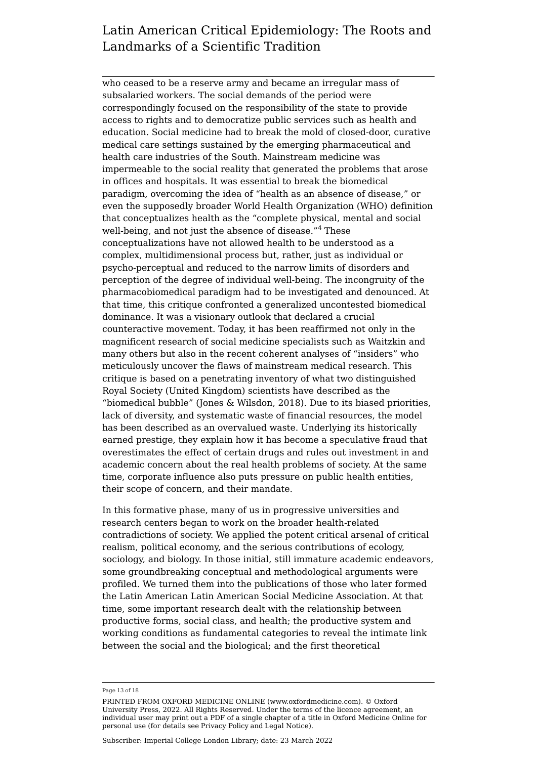<span id="page-12-0"></span>who ceased to be a reserve army and became an irregular mass of subsalaried workers. The social demands of the period were correspondingly focused on the responsibility of the state to provide access to rights and to democratize public services such as health and education. Social medicine had to break the mold of closed-door, curative medical care settings sustained by the emerging pharmaceutical and health care industries of the South. Mainstream medicine was impermeable to the social reality that generated the problems that arose in offices and hospitals. It was essential to break the biomedical paradigm, overcoming the idea of "health as an absence of disease," or even the supposedly broader World Health Organization (WHO) definition that conceptualizes health as the "complete physical, mental and social well-being, and not just the absence of disease."<sup>[4](#page-16-3)</sup> These conceptualizations have not allowed health to be understood as a complex, multidimensional process but, rather, just as individual or psycho-perceptual and reduced to the narrow limits of disorders and perception of the degree of individual well-being. The incongruity of the pharmacobiomedical paradigm had to be investigated and denounced. At that time, this critique confronted a generalized uncontested biomedical dominance. It was a visionary outlook that declared a crucial counteractive movement. Today, it has been reaffirmed not only in the magnificent research of social medicine specialists such as Waitzkin and many others but also in the recent coherent analyses of "insiders" who meticulously uncover the flaws of mainstream medical research. This critique is based on a penetrating inventory of what two distinguished Royal Society (United Kingdom) scientists have described as the "biomedical bubble" ([Jones & Wilsdon, 2018](https://oxfordmedicine.com/view/10.1093/med/9780190492786.001.0001/med-9780190492786-bibliography-1#med-9780190492786-bibItem-142)). Due to its biased priorities, lack of diversity, and systematic waste of financial resources, the model has been described as an overvalued waste. Underlying its historically earned prestige, they explain how it has become a speculative fraud that overestimates the effect of certain drugs and rules out investment in and academic concern about the real health problems of society. At the same time, corporate influence also puts pressure on public health entities, their scope of concern, and their mandate.

In this formative phase, many of us in progressive universities and research centers began to work on the broader health-related contradictions of society. We applied the potent critical arsenal of critical realism, political economy, and the serious contributions of ecology, sociology, and biology. In those initial, still immature academic endeavors, some groundbreaking conceptual and methodological arguments were profiled. We turned them into the publications of those who later formed the Latin American Latin American Social Medicine Association. At that time, some important research dealt with the relationship between productive forms, social class, and health; the productive system and working conditions as fundamental categories to reveal the intimate link between the social and the biological; and the first theoretical

Page 13 of 18

PRINTED FROM OXFORD MEDICINE ONLINE (www.oxfordmedicine.com). © Oxford University Press, 2022. All Rights Reserved. Under the terms of the licence agreement, an individual user may print out a PDF of a single chapter of a title in Oxford Medicine Online for personal use (for details see [Privacy Policy](https://global.oup.com/privacy) and [Legal Notice](https://oxfordmedicine.com/page/legal-notice)).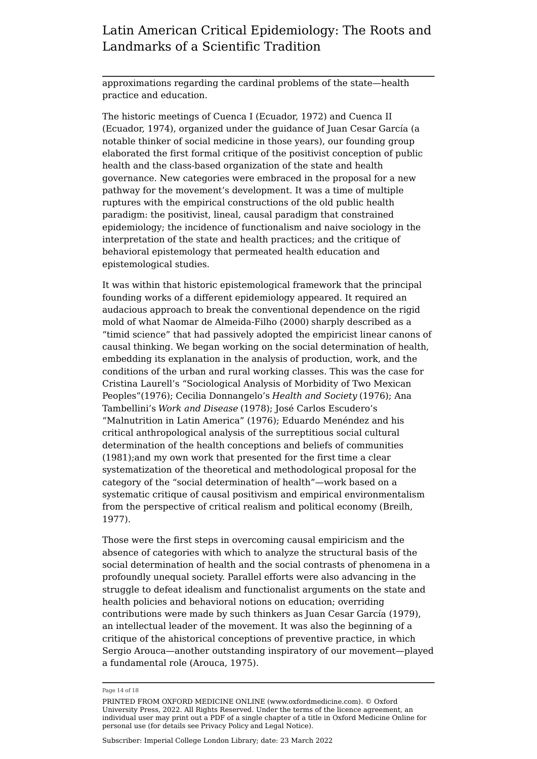approximations regarding the cardinal problems of the state—health practice and education.

The historic meetings of Cuenca I (Ecuador, 1972) and Cuenca II (Ecuador, 1974), organized under the guidance of Juan Cesar García (a notable thinker of social medicine in those years), our founding group elaborated the first formal critique of the positivist conception of public health and the class-based organization of the state and health governance. New categories were embraced in the proposal for a new pathway for the movement's development. It was a time of multiple ruptures with the empirical constructions of the old public health paradigm: the positivist, lineal, causal paradigm that constrained epidemiology; the incidence of functionalism and naive sociology in the interpretation of the state and health practices; and the critique of behavioral epistemology that permeated health education and epistemological studies.

It was within that historic epistemological framework that the principal founding works of a different epidemiology appeared. It required an audacious approach to break the conventional dependence on the rigid mold of what [Naomar de Almeida-Filho \(2000\)](https://oxfordmedicine.com/view/10.1093/med/9780190492786.001.0001/med-9780190492786-bibliography-1#med-9780190492786-bibItem-5) sharply described as a "timid science" that had passively adopted the empiricist linear canons of causal thinking. We began working on the social determination of health, embedding its explanation in the analysis of production, work, and the conditions of the urban and rural working classes. This was the case for Cristina Laurell's "Sociological Analysis of Morbidity of Two Mexican Peoples"(1976); Cecilia Donnangelo's *Health and Society* (1976); Ana Tambellini's *Work and Disease* (1978); José Carlos Escudero's "Malnutrition in Latin America" (1976); Eduardo Menéndez and his critical anthropological analysis of the surreptitious social cultural determination of the health conceptions and beliefs of communities (1981);and my own work that presented for the first time a clear systematization of the theoretical and methodological proposal for the category of the "social determination of health"—work based on a systematic critique of causal positivism and empirical environmentalism from the perspective of critical realism and political economy ([Breilh,](https://oxfordmedicine.com/view/10.1093/med/9780190492786.001.0001/med-9780190492786-chapter-3#med-9780190492786-chapter-3-bibItem-3)  [1977](https://oxfordmedicine.com/view/10.1093/med/9780190492786.001.0001/med-9780190492786-chapter-3#med-9780190492786-chapter-3-bibItem-3)).

Those were the first steps in overcoming causal empiricism and the absence of categories with which to analyze the structural basis of the social determination of health and the social contrasts of phenomena in a profoundly unequal society. Parallel efforts were also advancing in the struggle to defeat idealism and functionalist arguments on the state and health policies and behavioral notions on education; overriding contributions were made by such thinkers as [Juan Cesar García \(1979\),](https://oxfordmedicine.com/view/10.1093/med/9780190492786.001.0001/med-9780190492786-bibliography-1#med-9780190492786-bibItem-118) an intellectual leader of the movement. It was also the beginning of a critique of the ahistorical conceptions of preventive practice, in which Sergio Arouca—another outstanding inspiratory of our movement—played a fundamental role [\(Arouca, 1975](https://oxfordmedicine.com/view/10.1093/med/9780190492786.001.0001/med-9780190492786-bibliography-1#med-9780190492786-bibItem-12)).

Page 14 of 18

PRINTED FROM OXFORD MEDICINE ONLINE (www.oxfordmedicine.com). © Oxford University Press, 2022. All Rights Reserved. Under the terms of the licence agreement, an individual user may print out a PDF of a single chapter of a title in Oxford Medicine Online for personal use (for details see [Privacy Policy](https://global.oup.com/privacy) and [Legal Notice](https://oxfordmedicine.com/page/legal-notice)).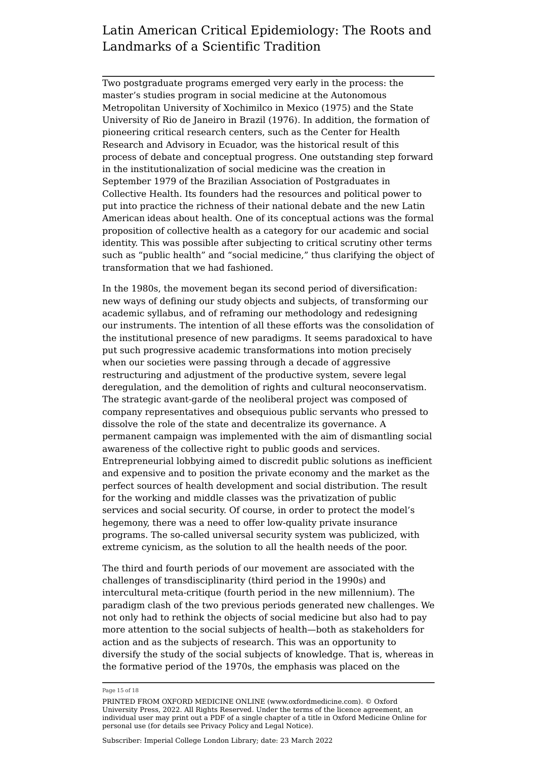Two postgraduate programs emerged very early in the process: the master's studies program in social medicine at the Autonomous Metropolitan University of Xochimilco in Mexico (1975) and the State University of Rio de Janeiro in Brazil (1976). In addition, the formation of pioneering critical research centers, such as the Center for Health Research and Advisory in Ecuador, was the historical result of this process of debate and conceptual progress. One outstanding step forward in the institutionalization of social medicine was the creation in September 1979 of the Brazilian Association of Postgraduates in Collective Health. Its founders had the resources and political power to put into practice the richness of their national debate and the new Latin American ideas about health. One of its conceptual actions was the formal proposition of collective health as a category for our academic and social identity. This was possible after subjecting to critical scrutiny other terms such as "public health" and "social medicine," thus clarifying the object of transformation that we had fashioned.

In the 1980s, the movement began its second period of diversification: new ways of defining our study objects and subjects, of transforming our academic syllabus, and of reframing our methodology and redesigning our instruments. The intention of all these efforts was the consolidation of the institutional presence of new paradigms. It seems paradoxical to have put such progressive academic transformations into motion precisely when our societies were passing through a decade of aggressive restructuring and adjustment of the productive system, severe legal deregulation, and the demolition of rights and cultural neoconservatism. The strategic avant-garde of the neoliberal project was composed of company representatives and obsequious public servants who pressed to dissolve the role of the state and decentralize its governance. A permanent campaign was implemented with the aim of dismantling social awareness of the collective right to public goods and services. Entrepreneurial lobbying aimed to discredit public solutions as inefficient and expensive and to position the private economy and the market as the perfect sources of health development and social distribution. The result for the working and middle classes was the privatization of public services and social security. Of course, in order to protect the model's hegemony, there was a need to offer low-quality private insurance programs. The so-called universal security system was publicized, with extreme cynicism, as the solution to all the health needs of the poor.

The third and fourth periods of our movement are associated with the challenges of transdisciplinarity (third period in the 1990s) and intercultural meta-critique (fourth period in the new millennium). The paradigm clash of the two previous periods generated new challenges. We not only had to rethink the objects of social medicine but also had to pay more attention to the social subjects of health—both as stakeholders for action and as the subjects of research. This was an opportunity to diversify the study of the social subjects of knowledge. That is, whereas in the formative period of the 1970s, the emphasis was placed on the

Page 15 of 18

PRINTED FROM OXFORD MEDICINE ONLINE (www.oxfordmedicine.com). © Oxford University Press, 2022. All Rights Reserved. Under the terms of the licence agreement, an individual user may print out a PDF of a single chapter of a title in Oxford Medicine Online for personal use (for details see [Privacy Policy](https://global.oup.com/privacy) and [Legal Notice](https://oxfordmedicine.com/page/legal-notice)).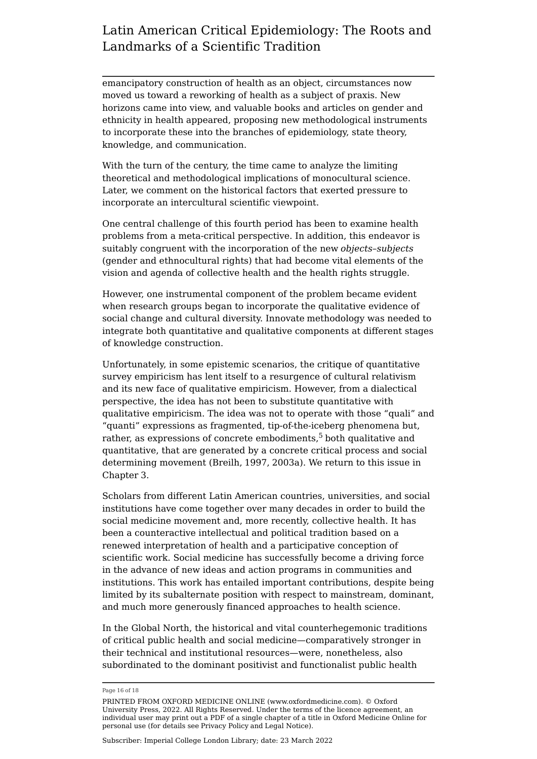emancipatory construction of health as an object, circumstances now moved us toward a reworking of health as a subject of praxis. New horizons came into view, and valuable books and articles on gender and ethnicity in health appeared, proposing new methodological instruments to incorporate these into the branches of epidemiology, state theory, knowledge, and communication.

With the turn of the century, the time came to analyze the limiting theoretical and methodological implications of monocultural science. Later, we comment on the historical factors that exerted pressure to incorporate an intercultural scientific viewpoint.

One central challenge of this fourth period has been to examine health problems from a meta-critical perspective. In addition, this endeavor is suitably congruent with the incorporation of the new *objects–subjects* (gender and ethnocultural rights) that had become vital elements of the vision and agenda of collective health and the health rights struggle.

However, one instrumental component of the problem became evident when research groups began to incorporate the qualitative evidence of social change and cultural diversity. Innovate methodology was needed to integrate both quantitative and qualitative components at different stages of knowledge construction.

Unfortunately, in some epistemic scenarios, the critique of quantitative survey empiricism has lent itself to a resurgence of cultural relativism and its new face of qualitative empiricism. However, from a dialectical perspective, the idea has not been to substitute quantitative with qualitative empiricism. The idea was not to operate with those "quali" and "quanti" expressions as fragmented, tip-of-the-iceberg phenomena but, rather, as expressions of concrete embodiments,<sup>[5](#page-16-4)</sup> both qualitative and quantitative, that are generated by a concrete critical process and social determining movement (Breilh, [1997](https://oxfordmedicine.com/view/10.1093/med/9780190492786.001.0001/med-9780190492786-bibliography-1#med-9780190492786-bibItem-38), [2003a](https://oxfordmedicine.com/view/10.1093/med/9780190492786.001.0001/med-9780190492786-bibliography-1#med-9780190492786-bibItem-41)). We return to this issue in Chapter [3](https://oxfordmedicine.com/view/10.1093/med/9780190492786.001.0001/med-9780190492786-chapter-4#).

<span id="page-15-0"></span>Scholars from different Latin American countries, universities, and social institutions have come together over many decades in order to build the social medicine movement and, more recently, collective health. It has been a counteractive intellectual and political tradition based on a renewed interpretation of health and a participative conception of scientific work. Social medicine has successfully become a driving force in the advance of new ideas and action programs in communities and institutions. This work has entailed important contributions, despite being limited by its subalternate position with respect to mainstream, dominant, and much more generously financed approaches to health science.

In the Global North, the historical and vital counterhegemonic traditions of critical public health and social medicine—comparatively stronger in their technical and institutional resources—were, nonetheless, also subordinated to the dominant positivist and functionalist public health

Page 16 of 18

PRINTED FROM OXFORD MEDICINE ONLINE (www.oxfordmedicine.com). © Oxford University Press, 2022. All Rights Reserved. Under the terms of the licence agreement, an individual user may print out a PDF of a single chapter of a title in Oxford Medicine Online for personal use (for details see [Privacy Policy](https://global.oup.com/privacy) and [Legal Notice](https://oxfordmedicine.com/page/legal-notice)).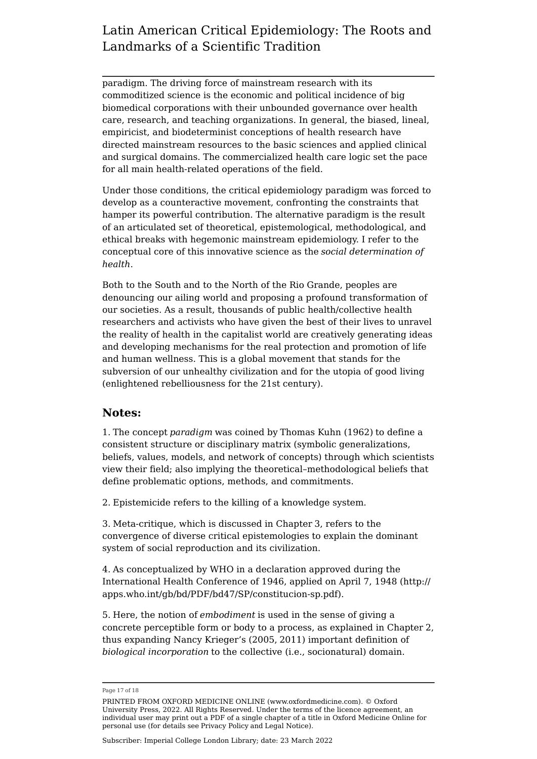paradigm. The driving force of mainstream research with its commoditized science is the economic and political incidence of big biomedical corporations with their unbounded governance over health care, research, and teaching organizations. In general, the biased, lineal, empiricist, and biodeterminist conceptions of health research have directed mainstream resources to the basic sciences and applied clinical and surgical domains. The commercialized health care logic set the pace for all main health-related operations of the field.

Under those conditions, the critical epidemiology paradigm was forced to develop as a counteractive movement, confronting the constraints that hamper its powerful contribution. The alternative paradigm is the result of an articulated set of theoretical, epistemological, methodological, and ethical breaks with hegemonic mainstream epidemiology. I refer to the conceptual core of this innovative science as the *social determination of health*.

Both to the South and to the North of the Rio Grande, peoples are denouncing our ailing world and proposing a profound transformation of our societies. As a result, thousands of public health/collective health researchers and activists who have given the best of their lives to unravel the reality of health in the capitalist world are creatively generating ideas and developing mechanisms for the real protection and promotion of life and human wellness. This is a global movement that stands for the subversion of our unhealthy civilization and for the utopia of good living (enlightened rebelliousness for the 21st century).

## **Notes:**

<span id="page-16-0"></span>[1.](#page-0-0) The concept *paradigm* was coined by [Thomas Kuhn \(1962\)](https://oxfordmedicine.com/view/10.1093/med/9780190492786.001.0001/med-9780190492786-bibliography-1#med-9780190492786-bibItem-163) to define a consistent structure or disciplinary matrix (symbolic generalizations, beliefs, values, models, and network of concepts) through which scientists view their field; also implying the theoretical–methodological beliefs that define problematic options, methods, and commitments.

<span id="page-16-1"></span>[2.](#page-3-0) Epistemicide refers to the killing of a knowledge system.

<span id="page-16-2"></span>[3.](#page-9-1) Meta-critique, which is discussed in Chapter [3,](https://oxfordmedicine.com/view/10.1093/med/9780190492786.001.0001/med-9780190492786-chapter-4#) refers to the convergence of diverse critical epistemologies to explain the dominant system of social reproduction and its civilization.

<span id="page-16-3"></span>[4.](#page-12-0) As conceptualized by WHO in a declaration approved during the International Health Conference of 1946, applied on April 7, 1948 [\(http://](http://apps.who.int/gb/bd/PDF/bd47/SP/constitucion-sp.pdf).) [apps.who.int/gb/bd/PDF/bd47/SP/constitucion-sp.pdf\)](http://apps.who.int/gb/bd/PDF/bd47/SP/constitucion-sp.pdf).).

<span id="page-16-4"></span>[5.](#page-15-0) Here, the notion of *embodiment* is used in the sense of giving a concrete perceptible form or body to a process, as explained in Chapter [2](https://oxfordmedicine.com/view/10.1093/med/9780190492786.001.0001/med-9780190492786-chapter-3#), thus expanding Nancy Krieger's ([2005](https://oxfordmedicine.com/view/10.1093/med/9780190492786.001.0001/med-9780190492786-bibliography-1#med-9780190492786-bibItem-158), [2011\)](https://oxfordmedicine.com/view/10.1093/med/9780190492786.001.0001/med-9780190492786-bibliography-1#med-9780190492786-bibItem-159) important definition of *biological incorporation* to the collective (i.e., socionatural) domain.

Page 17 of 18

PRINTED FROM OXFORD MEDICINE ONLINE (www.oxfordmedicine.com). © Oxford University Press, 2022. All Rights Reserved. Under the terms of the licence agreement, an individual user may print out a PDF of a single chapter of a title in Oxford Medicine Online for personal use (for details see [Privacy Policy](https://global.oup.com/privacy) and [Legal Notice](https://oxfordmedicine.com/page/legal-notice)).